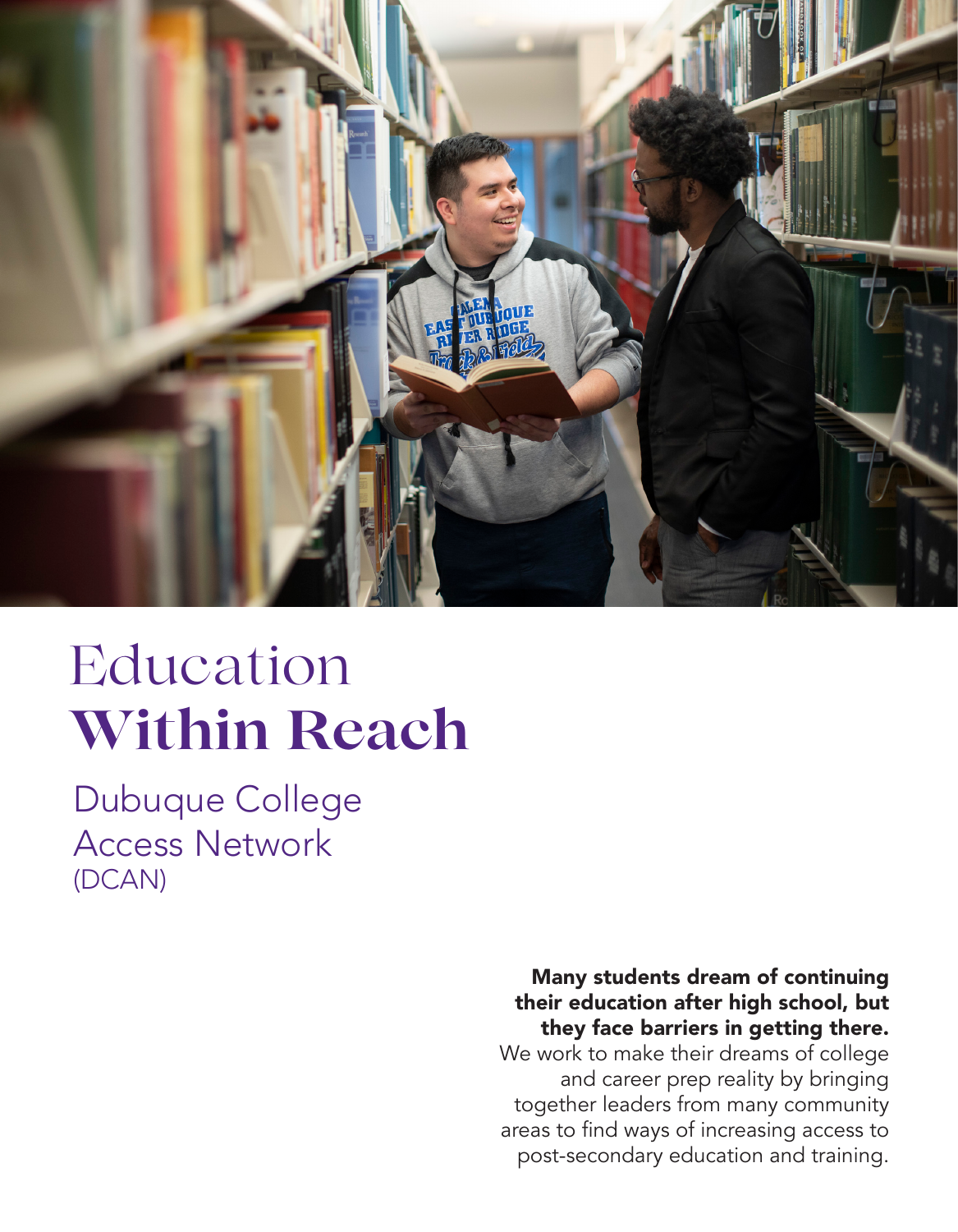

# Education **Within Reach**

Dubuque College Access Network (DCAN)

#### Many students dream of continuing their education after high school, but they face barriers in getting there.

We work to make their dreams of college and career prep reality by bringing together leaders from many community areas to find ways of increasing access to post-secondary education and training.